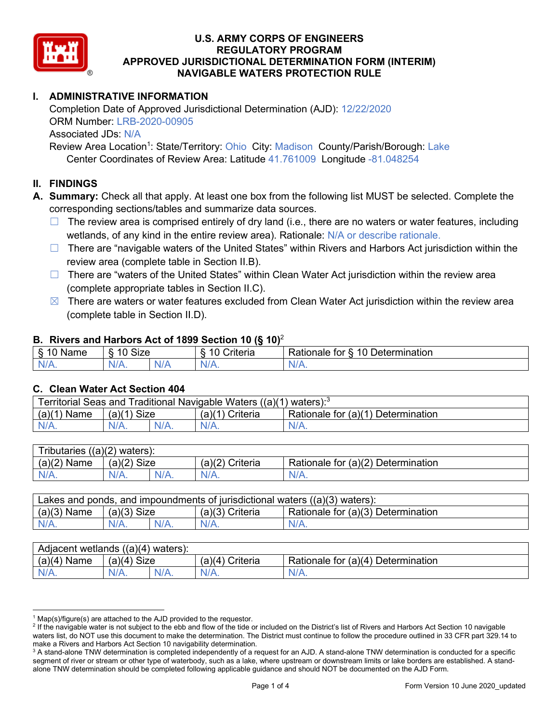

# **I. ADMINISTRATIVE INFORMATION**

Completion Date of Approved Jurisdictional Determination (AJD): 12/22/2020 ORM Number: LRB-2020-00905 Associated JDs: N/A Review Area Location<sup>1</sup>: State/Territory: Ohio City: Madison County/Parish/Borough: Lake

Center Coordinates of Review Area: Latitude 41.761009 Longitude -81.048254

## **II. FINDINGS**

**A. Summary:** Check all that apply. At least one box from the following list MUST be selected. Complete the corresponding sections/tables and summarize data sources.

- $\Box$  The review area is comprised entirely of dry land (i.e., there are no waters or water features, including wetlands, of any kind in the entire review area). Rationale: N/A or describe rationale.
- $\Box$  There are "navigable waters of the United States" within Rivers and Harbors Act jurisdiction within the review area (complete table in Section II.B).
- $\Box$  There are "waters of the United States" within Clean Water Act jurisdiction within the review area (complete appropriate tables in Section II.C).
- $\boxtimes$  There are waters or water features excluded from Clean Water Act jurisdiction within the review area (complete table in Section II.D).

#### **B. Rivers and Harbors Act of 1899 Section 10 (§ 10)**<sup>2</sup>

| w                                           |                        |     |                                           |                                                                                |  |
|---------------------------------------------|------------------------|-----|-------------------------------------------|--------------------------------------------------------------------------------|--|
| я<br>$\sim$ 10.0 $\sim$<br>'vame'<br>υ<br>ູ | Size<br>$\overline{A}$ |     | $\overline{A}$ $\overline{C}$<br>`rıterıa | $\overline{\phantom{a}}$<br>10<br>Jetermination<br>$\sim$<br>tor<br>kationale: |  |
| N/L                                         | "<br>'V/A.             | NIA | N/L<br>97 / TV                            | $\cdots$<br>w.<br>11 I N.                                                      |  |

#### **C. Clean Water Act Section 404**

| Territorial Seas and Traditional Navigable Waters ((a)(1)<br>waters): $3$ |                |  |                   |                                    |  |
|---------------------------------------------------------------------------|----------------|--|-------------------|------------------------------------|--|
| (a)(1)<br>Name                                                            | Size<br>(a)(1) |  | $(a)(1)$ Criteria | Rationale for (a)(1) Determination |  |
|                                                                           | N/A.           |  | $N/A$ .           | $N/A$ .                            |  |

| Tributaries<br>$((a)(2)$ waters): |                       |         |                    |                                    |  |
|-----------------------------------|-----------------------|---------|--------------------|------------------------------------|--|
| (a)(2)<br>Name                    | (a)(2)<br><b>Size</b> |         | (a)(2)<br>Criteria | Rationale for (a)(2) Determination |  |
| $N/A$ .                           | N/A.                  | $N/A$ . | $N/A$ .            | N/A.                               |  |

| Lakes and ponds, and impoundments of jurisdictional waters $((a)(3)$ waters): |               |  |                   |                                    |
|-------------------------------------------------------------------------------|---------------|--|-------------------|------------------------------------|
| $(a)(3)$ Name                                                                 | $(a)(3)$ Size |  | $(a)(3)$ Criteria | Rationale for (a)(3) Determination |
| $N/A$ .                                                                       | $N/A$ .       |  | $N/A$ .           | $N/A$ .                            |

| Adjacent wetlands<br>$((a)(4)$ waters): |                       |         |                   |                                    |  |
|-----------------------------------------|-----------------------|---------|-------------------|------------------------------------|--|
| (a)(4)<br>Name                          | (a)(4)<br><b>Size</b> |         | (a)(4<br>Criteria | Rationale for (a)(4) Determination |  |
| N/A.                                    | $N/A$ .               | $N/A$ . | $N/A$ .           | $N/A$ .                            |  |

 $^1$  Map(s)/figure(s) are attached to the AJD provided to the requestor.<br><sup>2</sup> If the navigable water is not subject to the ebb and flow of the tide or included on the District's list of Rivers and Harbors Act Section 10 na waters list, do NOT use this document to make the determination. The District must continue to follow the procedure outlined in 33 CFR part 329.14 to make a Rivers and Harbors Act Section 10 navigability determination.

<sup>&</sup>lt;sup>3</sup> A stand-alone TNW determination is completed independently of a request for an AJD. A stand-alone TNW determination is conducted for a specific segment of river or stream or other type of waterbody, such as a lake, where upstream or downstream limits or lake borders are established. A standalone TNW determination should be completed following applicable guidance and should NOT be documented on the AJD Form.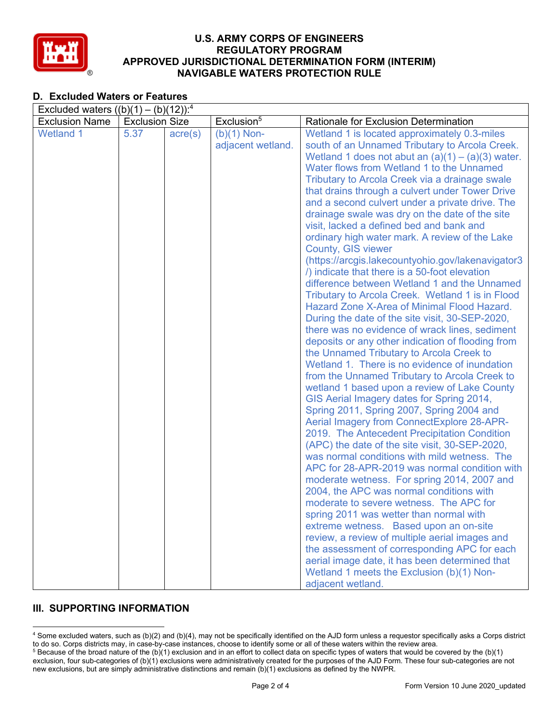

## **D. Excluded Waters or Features**

| Excluded waters $((b)(1) - (b)(12))$ : <sup>4</sup> |                       |                  |                        |                                                                                           |  |  |
|-----------------------------------------------------|-----------------------|------------------|------------------------|-------------------------------------------------------------------------------------------|--|--|
| <b>Exclusion Name</b>                               | <b>Exclusion Size</b> |                  | Exclusion <sup>5</sup> | Rationale for Exclusion Determination                                                     |  |  |
| <b>Wetland 1</b>                                    | 5.37                  | $\text{acre}(s)$ | $(b)(1)$ Non-          | Wetland 1 is located approximately 0.3-miles                                              |  |  |
|                                                     |                       |                  | adjacent wetland.      | south of an Unnamed Tributary to Arcola Creek.                                            |  |  |
|                                                     |                       |                  |                        | Wetland 1 does not abut an $(a)(1) - (a)(3)$ water.                                       |  |  |
|                                                     |                       |                  |                        | Water flows from Wetland 1 to the Unnamed                                                 |  |  |
|                                                     |                       |                  |                        | Tributary to Arcola Creek via a drainage swale                                            |  |  |
|                                                     |                       |                  |                        | that drains through a culvert under Tower Drive                                           |  |  |
|                                                     |                       |                  |                        | and a second culvert under a private drive. The                                           |  |  |
|                                                     |                       |                  |                        | drainage swale was dry on the date of the site                                            |  |  |
|                                                     |                       |                  |                        | visit, lacked a defined bed and bank and                                                  |  |  |
|                                                     |                       |                  |                        | ordinary high water mark. A review of the Lake<br>County, GIS viewer                      |  |  |
|                                                     |                       |                  |                        | (https://arcgis.lakecountyohio.gov/lakenavigator3                                         |  |  |
|                                                     |                       |                  |                        | () indicate that there is a 50-foot elevation                                             |  |  |
|                                                     |                       |                  |                        | difference between Wetland 1 and the Unnamed                                              |  |  |
|                                                     |                       |                  |                        | Tributary to Arcola Creek. Wetland 1 is in Flood                                          |  |  |
|                                                     |                       |                  |                        | Hazard Zone X-Area of Minimal Flood Hazard.                                               |  |  |
|                                                     |                       |                  |                        | During the date of the site visit, 30-SEP-2020,                                           |  |  |
|                                                     |                       |                  |                        | there was no evidence of wrack lines, sediment                                            |  |  |
|                                                     |                       |                  |                        | deposits or any other indication of flooding from                                         |  |  |
|                                                     |                       |                  |                        | the Unnamed Tributary to Arcola Creek to<br>Wetland 1. There is no evidence of inundation |  |  |
|                                                     |                       |                  |                        | from the Unnamed Tributary to Arcola Creek to                                             |  |  |
|                                                     |                       |                  |                        | wetland 1 based upon a review of Lake County                                              |  |  |
|                                                     |                       |                  |                        | GIS Aerial Imagery dates for Spring 2014,                                                 |  |  |
|                                                     |                       |                  |                        | Spring 2011, Spring 2007, Spring 2004 and                                                 |  |  |
|                                                     |                       |                  |                        | Aerial Imagery from ConnectExplore 28-APR-                                                |  |  |
|                                                     |                       |                  |                        | 2019. The Antecedent Precipitation Condition                                              |  |  |
|                                                     |                       |                  |                        | (APC) the date of the site visit, 30-SEP-2020,                                            |  |  |
|                                                     |                       |                  |                        | was normal conditions with mild wetness. The                                              |  |  |
|                                                     |                       |                  |                        | APC for 28-APR-2019 was normal condition with                                             |  |  |
|                                                     |                       |                  |                        | moderate wetness. For spring 2014, 2007 and                                               |  |  |
|                                                     |                       |                  |                        | 2004, the APC was normal conditions with                                                  |  |  |
|                                                     |                       |                  |                        | moderate to severe wetness. The APC for                                                   |  |  |
|                                                     |                       |                  |                        | spring 2011 was wetter than normal with                                                   |  |  |
|                                                     |                       |                  |                        | extreme wetness. Based upon an on-site                                                    |  |  |
|                                                     |                       |                  |                        | review, a review of multiple aerial images and                                            |  |  |
|                                                     |                       |                  |                        | the assessment of corresponding APC for each                                              |  |  |
|                                                     |                       |                  |                        | aerial image date, it has been determined that                                            |  |  |
|                                                     |                       |                  |                        | Wetland 1 meets the Exclusion (b)(1) Non-                                                 |  |  |
|                                                     |                       |                  |                        | adjacent wetland.                                                                         |  |  |

## **III. SUPPORTING INFORMATION**

<sup>4</sup> Some excluded waters, such as (b)(2) and (b)(4), may not be specifically identified on the AJD form unless a requestor specifically asks a Corps district to do so. Corps districts may, in case-by-case instances, choose to identify some or all of these waters within the review area.  $5$  Because of the broad nature of the (b)(1) exclusion and in an effort to collect data on specific types of waters that would be covered by the (b)(1)

exclusion, four sub-categories of (b)(1) exclusions were administratively created for the purposes of the AJD Form. These four sub-categories are not new exclusions, but are simply administrative distinctions and remain (b)(1) exclusions as defined by the NWPR.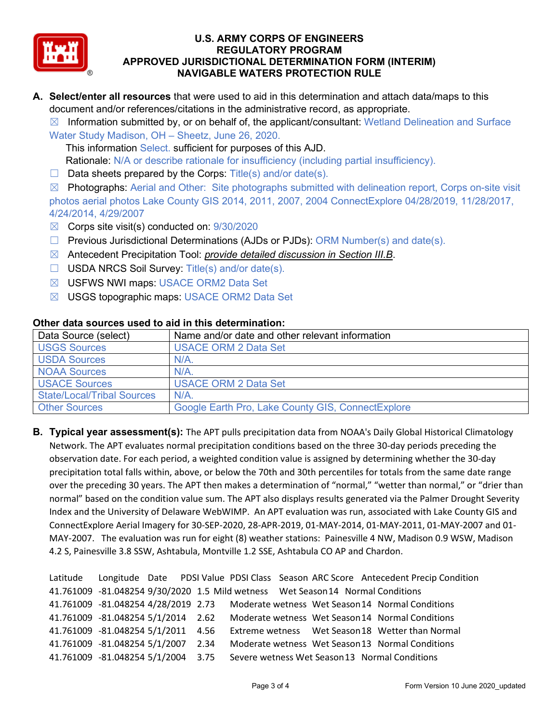

**A. Select/enter all resources** that were used to aid in this determination and attach data/maps to this document and/or references/citations in the administrative record, as appropriate.

 $\boxtimes$  Information submitted by, or on behalf of, the applicant/consultant: Wetland Delineation and Surface

Water Study Madison, OH – Sheetz, June 26, 2020. This information Select. sufficient for purposes of this AJD. Rationale: N/A or describe rationale for insufficiency (including partial insufficiency).

 $\Box$  Data sheets prepared by the Corps: Title(s) and/or date(s).

 $\boxtimes$  Photographs: Aerial and Other: Site photographs submitted with delineation report, Corps on-site visit photos aerial photos Lake County GIS 2014, 2011, 2007, 2004 ConnectExplore 04/28/2019, 11/28/2017, 4/24/2014, 4/29/2007

- ☒ Corps site visit(s) conducted on: 9/30/2020
- ☐ Previous Jurisdictional Determinations (AJDs or PJDs): ORM Number(s) and date(s).
- ☒ Antecedent Precipitation Tool: *provide detailed discussion in Section III.B*.
- ☐ USDA NRCS Soil Survey: Title(s) and/or date(s).
- ☒ USFWS NWI maps: USACE ORM2 Data Set
- ☒ USGS topographic maps: USACE ORM2 Data Set

| othol aata oodi ood adda to aha in tino adtonnination. |                                                   |  |  |  |
|--------------------------------------------------------|---------------------------------------------------|--|--|--|
| Data Source (select)                                   | Name and/or date and other relevant information   |  |  |  |
| <b>USGS Sources</b>                                    | <b>USACE ORM 2 Data Set</b>                       |  |  |  |
| <b>USDA Sources</b>                                    | N/A                                               |  |  |  |
| <b>NOAA Sources</b>                                    | N/A                                               |  |  |  |
| <b>USACE Sources</b>                                   | <b>USACE ORM 2 Data Set</b>                       |  |  |  |
| <b>State/Local/Tribal Sources</b>                      | N/A                                               |  |  |  |
| <b>Other Sources</b>                                   | Google Earth Pro, Lake County GIS, ConnectExplore |  |  |  |

#### **Other data sources used to aid in this determination:**

**B. Typical year assessment(s):** The APT pulls precipitation data from NOAA's Daily Global Historical Climatology Network. The APT evaluates normal precipitation conditions based on the three 30-day periods preceding the observation date. For each period, a weighted condition value is assigned by determining whether the 30-day precipitation total falls within, above, or below the 70th and 30th percentiles for totals from the same date range over the preceding 30 years. The APT then makes a determination of "normal," "wetter than normal," or "drier than normal" based on the condition value sum. The APT also displays results generated via the Palmer Drought Severity Index and the University of Delaware WebWIMP. An APT evaluation was run, associated with Lake County GIS and ConnectExplore Aerial Imagery for 30-SEP-2020, 28-APR-2019, 01-MAY-2014, 01-MAY-2011, 01-MAY-2007 and 01- MAY-2007. The evaluation was run for eight (8) weather stations: Painesville 4 NW, Madison 0.9 WSW, Madison 4.2 S, Painesville 3.8 SSW, Ashtabula, Montville 1.2 SSE, Ashtabula CO AP and Chardon.

```
Latitude Longitude Date PDSI Value PDSI Class Season ARC Score Antecedent Precip Condition
41.761009 -81.048254 9/30/2020 1.5 Mild wetness Wet Season14 Normal Conditions
41.761009 -81.048254 4/28/2019 2.73 Moderate wetness Wet Season14 Normal Conditions
41.761009 -81.048254 5/1/2014 2.62 Moderate wetness Wet Season14 Normal Conditions
41.761009 -81.048254 5/1/2011 4.56 Extreme wetness Wet Season18 Wetter than Normal
41.761009 -81.048254 5/1/2007 2.34 Moderate wetness Wet Season13 Normal Conditions
41.761009 -81.048254 5/1/2004 3.75 Severe wetness Wet Season13 Normal Conditions
```